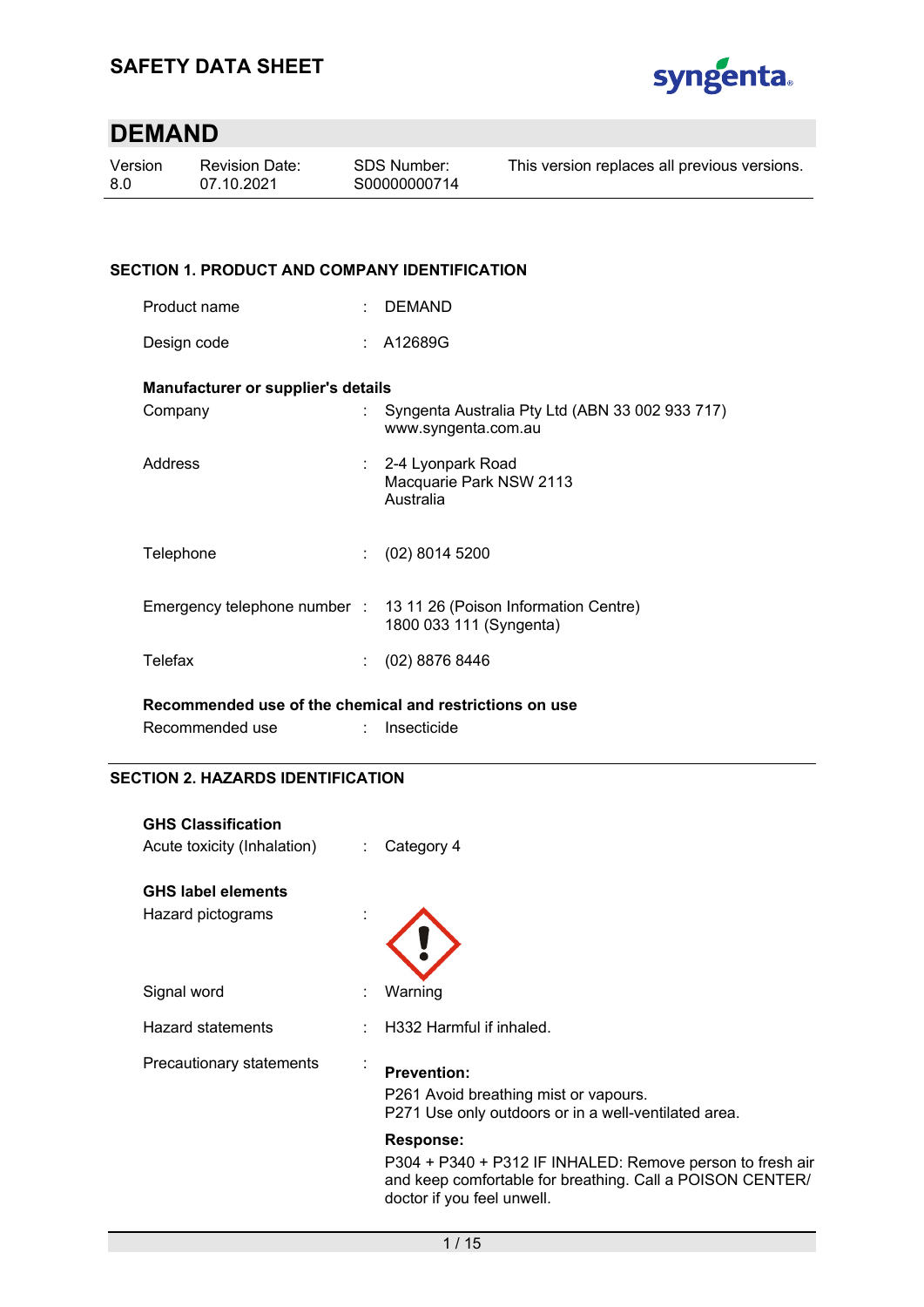

| Version | <b>Revision Date:</b> | SDS Number:  | This version replaces all previous versions. |
|---------|-----------------------|--------------|----------------------------------------------|
| -8.0    | 07.10.2021            | S00000000714 |                                              |
|         |                       |              |                                              |

### **SECTION 1. PRODUCT AND COMPANY IDENTIFICATION**

Design code : A12689G

### **Manufacturer or supplier's details**

| Company   | Syngenta Australia Pty Ltd (ABN 33 002 933 717)<br>www.syngenta.com.au                       |
|-----------|----------------------------------------------------------------------------------------------|
| Address   | : 2-4 Lyonpark Road<br>Macquarie Park NSW 2113<br>Australia                                  |
| Telephone | $(02)$ 8014 5200                                                                             |
|           | Emergency telephone number : 13 11 26 (Poison Information Centre)<br>1800 033 111 (Syngenta) |
| Telefax   | $(02)$ 8876 8446                                                                             |
|           |                                                                                              |

**Recommended use of the chemical and restrictions on use** 

| Recommended use | Insecticide |
|-----------------|-------------|
|-----------------|-------------|

### **SECTION 2. HAZARDS IDENTIFICATION**

| <b>GHS Classification</b><br>Acute toxicity (Inhalation) | ÷ | Category 4                                                                                                                                           |
|----------------------------------------------------------|---|------------------------------------------------------------------------------------------------------------------------------------------------------|
| <b>GHS label elements</b>                                |   |                                                                                                                                                      |
| Hazard pictograms                                        |   |                                                                                                                                                      |
| Signal word                                              |   | Warning                                                                                                                                              |
| Hazard statements                                        |   | H332 Harmful if inhaled.                                                                                                                             |
| Precautionary statements                                 |   | <b>Prevention:</b><br>P261 Avoid breathing mist or vapours.<br>P271 Use only outdoors or in a well-ventilated area.                                  |
|                                                          |   | <b>Response:</b>                                                                                                                                     |
|                                                          |   | P304 + P340 + P312 IF INHALED: Remove person to fresh air<br>and keep comfortable for breathing. Call a POISON CENTER/<br>doctor if you feel unwell. |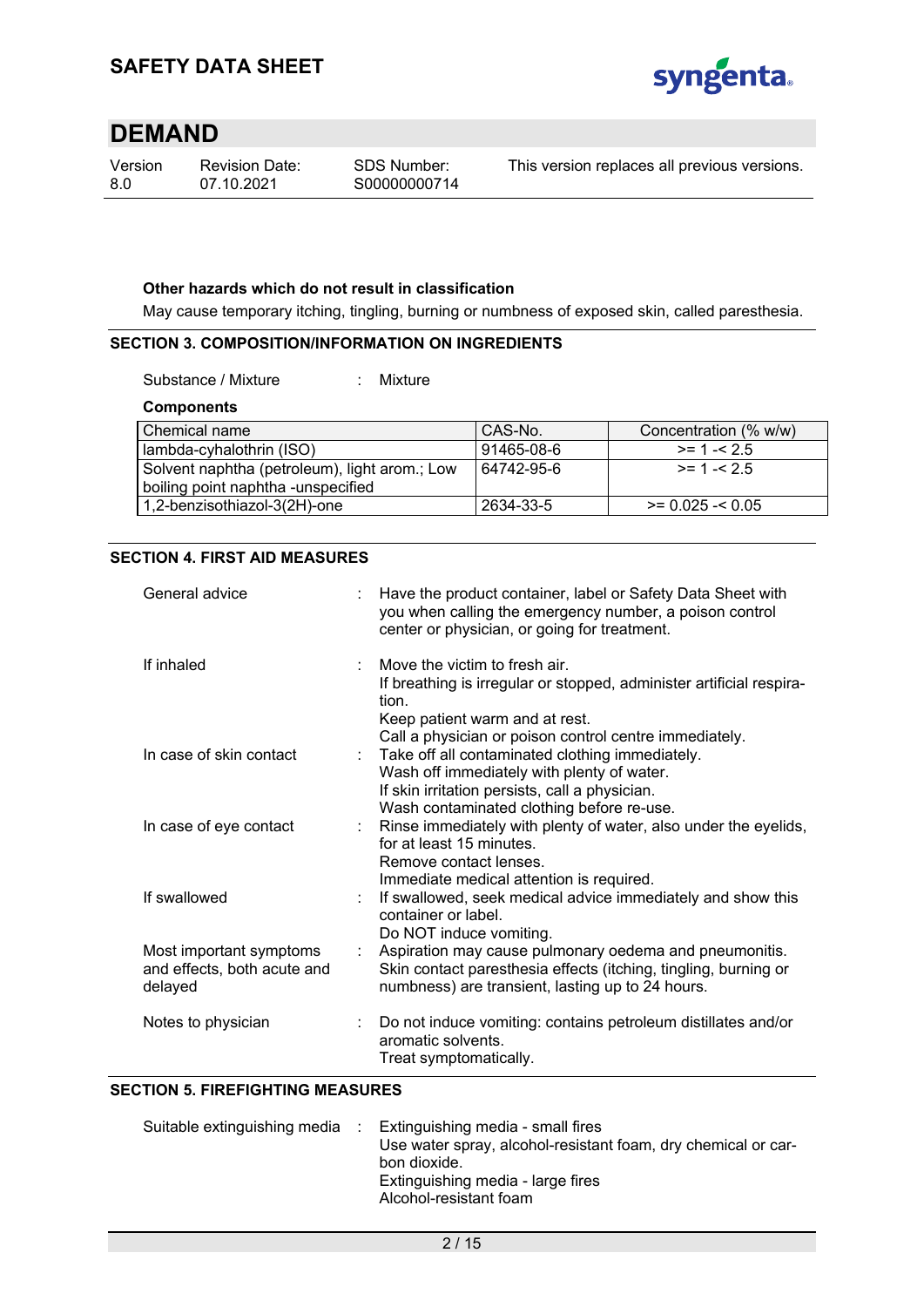

| Version |  |
|---------|--|
| 8.0     |  |

Revision Date: 07.10.2021

This version replaces all previous versions.

### **Other hazards which do not result in classification**

May cause temporary itching, tingling, burning or numbness of exposed skin, called paresthesia.

### **SECTION 3. COMPOSITION/INFORMATION ON INGREDIENTS**

Substance / Mixture : Mixture

### **Components**

| Chemical name                                 | CAS-No.    | Concentration (% w/w) |
|-----------------------------------------------|------------|-----------------------|
| lambda-cyhalothrin (ISO)                      | 91465-08-6 | $> = 1 - 2.5$         |
| Solvent naphtha (petroleum), light arom.; Low | 64742-95-6 | $> = 1 - 2.5$         |
| boiling point naphtha -unspecified            |            |                       |
| 1,2-benzisothiazol-3(2H)-one                  | 2634-33-5  | $>= 0.025 - 0.05$     |

### **SECTION 4. FIRST AID MEASURES**

| General advice                                                    |                           | Have the product container, label or Safety Data Sheet with<br>you when calling the emergency number, a poison control<br>center or physician, or going for treatment.                                                                                   |
|-------------------------------------------------------------------|---------------------------|----------------------------------------------------------------------------------------------------------------------------------------------------------------------------------------------------------------------------------------------------------|
| If inhaled                                                        |                           | Move the victim to fresh air.<br>If breathing is irregular or stopped, administer artificial respira-<br>tion.<br>Keep patient warm and at rest.                                                                                                         |
| In case of skin contact                                           |                           | Call a physician or poison control centre immediately.<br>: Take off all contaminated clothing immediately.<br>Wash off immediately with plenty of water.<br>If skin irritation persists, call a physician.<br>Wash contaminated clothing before re-use. |
| In case of eye contact                                            | $\mathbb{R}^{\mathbb{Z}}$ | Rinse immediately with plenty of water, also under the eyelids,<br>for at least 15 minutes.<br>Remove contact lenses.<br>Immediate medical attention is required.                                                                                        |
| If swallowed                                                      |                           | If swallowed, seek medical advice immediately and show this<br>container or label.<br>Do NOT induce vomiting.                                                                                                                                            |
| Most important symptoms<br>and effects, both acute and<br>delayed |                           | Aspiration may cause pulmonary oedema and pneumonitis.<br>Skin contact paresthesia effects (itching, tingling, burning or<br>numbness) are transient, lasting up to 24 hours.                                                                            |
| Notes to physician                                                |                           | Do not induce vomiting: contains petroleum distillates and/or<br>aromatic solvents.<br>Treat symptomatically.                                                                                                                                            |

#### **SECTION 5. FIREFIGHTING MEASURES**

| Suitable extinguishing media | Extinguishing media - small fires                             |
|------------------------------|---------------------------------------------------------------|
|                              | Use water spray, alcohol-resistant foam, dry chemical or car- |
|                              | bon dioxide.                                                  |
|                              | Extinguishing media - large fires                             |
|                              | Alcohol-resistant foam                                        |
|                              |                                                               |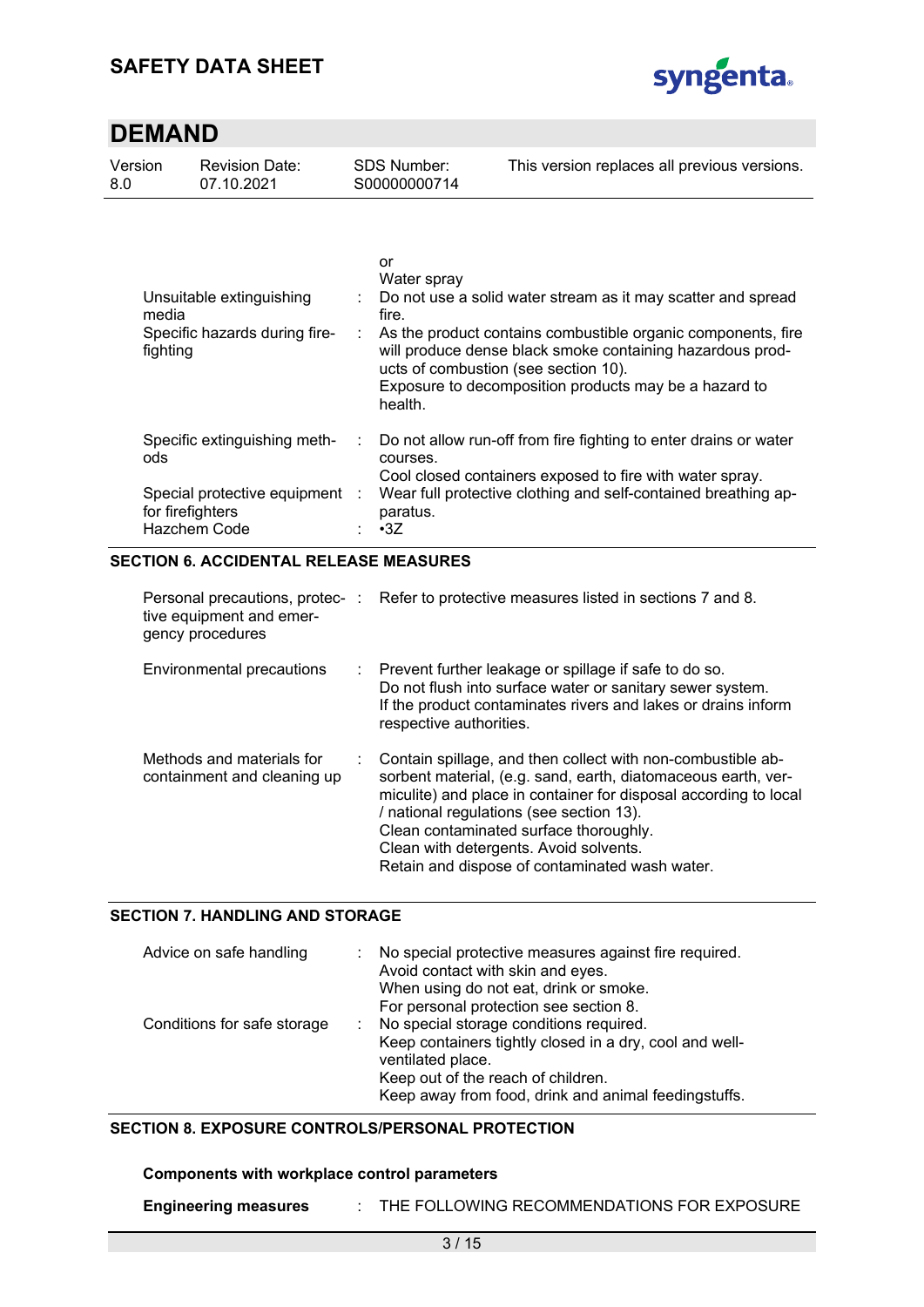

| Version | <b>Revision Date:</b> | SDS Number:  | This version replaces all previous versions. |
|---------|-----------------------|--------------|----------------------------------------------|
| - 8.0   | 07.10.2021            | S00000000714 |                                              |
|         |                       |              |                                              |

| Unsuitable extinguishing<br>media<br>Specific hazards during fire-<br>fighting |   | or<br>Water spray<br>: Do not use a solid water stream as it may scatter and spread<br>fire.<br>As the product contains combustible organic components, fire<br>will produce dense black smoke containing hazardous prod-<br>ucts of combustion (see section 10).<br>Exposure to decomposition products may be a hazard to<br>health. |
|--------------------------------------------------------------------------------|---|---------------------------------------------------------------------------------------------------------------------------------------------------------------------------------------------------------------------------------------------------------------------------------------------------------------------------------------|
| Specific extinguishing meth-<br>ods                                            | ÷ | Do not allow run-off from fire fighting to enter drains or water<br>courses.<br>Cool closed containers exposed to fire with water spray.                                                                                                                                                                                              |
| Special protective equipment<br>for firefighters<br>Hazchem Code               | ÷ | Wear full protective clothing and self-contained breathing ap-<br>paratus.<br>$\cdot$ 3Z                                                                                                                                                                                                                                              |

### **SECTION 6. ACCIDENTAL RELEASE MEASURES**

| tive equipment and emer-<br>gency procedures             |    | Personal precautions, protec-: Refer to protective measures listed in sections 7 and 8.                                                                                                                                                                                                                                                                                            |
|----------------------------------------------------------|----|------------------------------------------------------------------------------------------------------------------------------------------------------------------------------------------------------------------------------------------------------------------------------------------------------------------------------------------------------------------------------------|
| Environmental precautions                                |    | : Prevent further leakage or spillage if safe to do so.<br>Do not flush into surface water or sanitary sewer system.<br>If the product contaminates rivers and lakes or drains inform<br>respective authorities.                                                                                                                                                                   |
| Methods and materials for<br>containment and cleaning up | t. | Contain spillage, and then collect with non-combustible ab-<br>sorbent material, (e.g. sand, earth, diatomaceous earth, ver-<br>miculite) and place in container for disposal according to local<br>/ national regulations (see section 13).<br>Clean contaminated surface thoroughly.<br>Clean with detergents. Avoid solvents.<br>Retain and dispose of contaminated wash water. |

### **SECTION 7. HANDLING AND STORAGE**

| Advice on safe handling     | No special protective measures against fire required.<br>Avoid contact with skin and eyes.<br>When using do not eat, drink or smoke.<br>For personal protection see section 8.                                        |
|-----------------------------|-----------------------------------------------------------------------------------------------------------------------------------------------------------------------------------------------------------------------|
| Conditions for safe storage | No special storage conditions required.<br>Keep containers tightly closed in a dry, cool and well-<br>ventilated place.<br>Keep out of the reach of children.<br>Keep away from food, drink and animal feedingstuffs. |

### **SECTION 8. EXPOSURE CONTROLS/PERSONAL PROTECTION**

### **Components with workplace control parameters**

| <b>Engineering measures</b> |  | THE FOLLOWING RECOMMENDATIONS FOR EXPOSURE |
|-----------------------------|--|--------------------------------------------|
|-----------------------------|--|--------------------------------------------|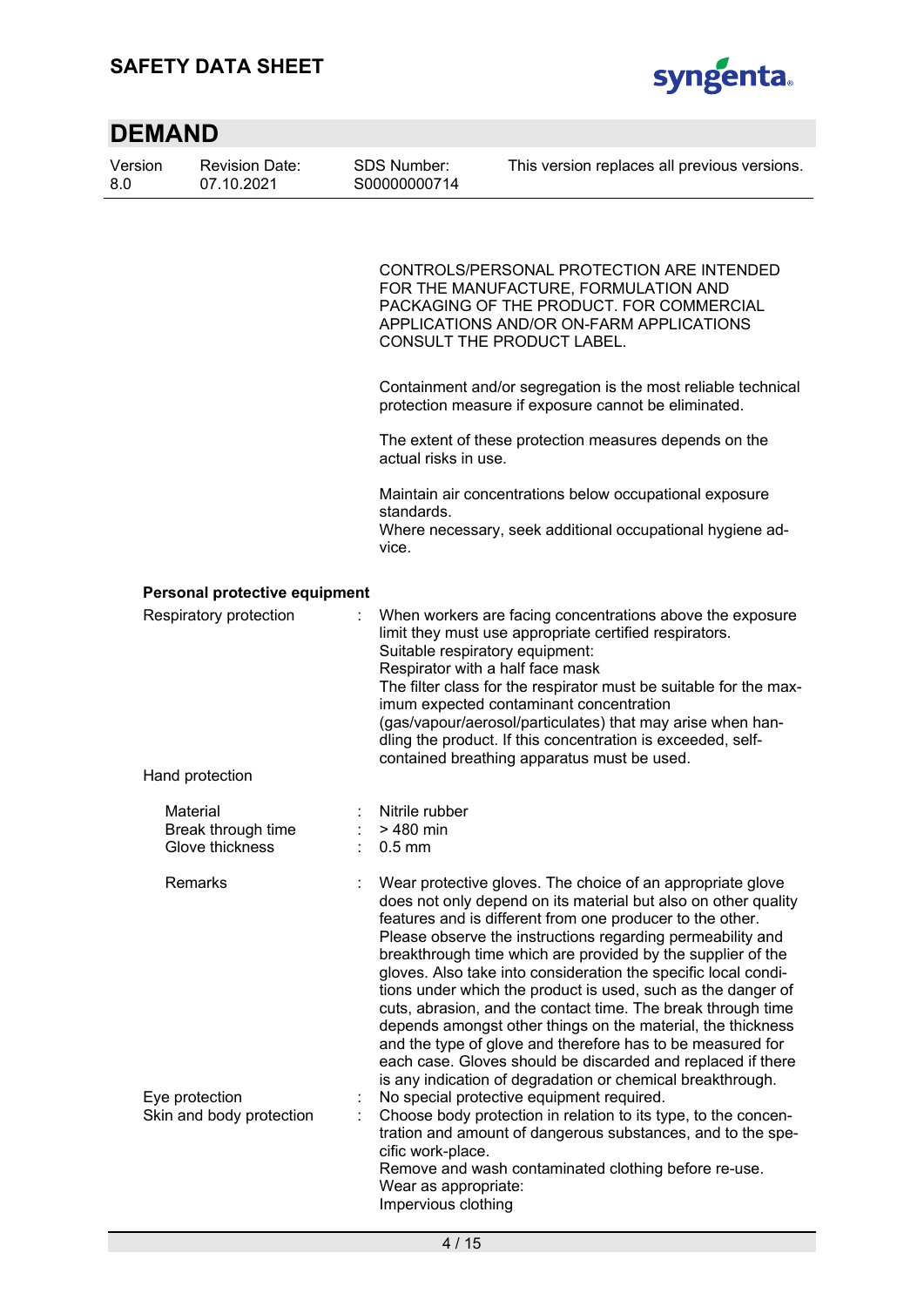## **SAFETY DATA SHEET**



| <b>DEMAND</b>  |                                                   |                                                                  |                                                                                                                                                                                                                                                                                                                                                                                                                                                                                                                                                                                                                                                                                                                                                                                    |  |  |  |  |  |
|----------------|---------------------------------------------------|------------------------------------------------------------------|------------------------------------------------------------------------------------------------------------------------------------------------------------------------------------------------------------------------------------------------------------------------------------------------------------------------------------------------------------------------------------------------------------------------------------------------------------------------------------------------------------------------------------------------------------------------------------------------------------------------------------------------------------------------------------------------------------------------------------------------------------------------------------|--|--|--|--|--|
| Version<br>8.0 | <b>Revision Date:</b><br>07.10.2021               | <b>SDS Number:</b><br>S00000000714                               | This version replaces all previous versions.                                                                                                                                                                                                                                                                                                                                                                                                                                                                                                                                                                                                                                                                                                                                       |  |  |  |  |  |
|                |                                                   |                                                                  | CONTROLS/PERSONAL PROTECTION ARE INTENDED<br>FOR THE MANUFACTURE, FORMULATION AND<br>PACKAGING OF THE PRODUCT. FOR COMMERCIAL<br>APPLICATIONS AND/OR ON-FARM APPLICATIONS<br>CONSULT THE PRODUCT LABEL.                                                                                                                                                                                                                                                                                                                                                                                                                                                                                                                                                                            |  |  |  |  |  |
|                |                                                   |                                                                  | Containment and/or segregation is the most reliable technical<br>protection measure if exposure cannot be eliminated.                                                                                                                                                                                                                                                                                                                                                                                                                                                                                                                                                                                                                                                              |  |  |  |  |  |
|                |                                                   | actual risks in use.                                             | The extent of these protection measures depends on the                                                                                                                                                                                                                                                                                                                                                                                                                                                                                                                                                                                                                                                                                                                             |  |  |  |  |  |
|                |                                                   | standards.<br>vice.                                              | Maintain air concentrations below occupational exposure<br>Where necessary, seek additional occupational hygiene ad-                                                                                                                                                                                                                                                                                                                                                                                                                                                                                                                                                                                                                                                               |  |  |  |  |  |
|                | Personal protective equipment                     |                                                                  |                                                                                                                                                                                                                                                                                                                                                                                                                                                                                                                                                                                                                                                                                                                                                                                    |  |  |  |  |  |
|                | Respiratory protection                            | Suitable respiratory equipment:                                  | When workers are facing concentrations above the exposure<br>limit they must use appropriate certified respirators.<br>Respirator with a half face mask<br>The filter class for the respirator must be suitable for the max-<br>imum expected contaminant concentration<br>(gas/vapour/aerosol/particulates) that may arise when han-<br>dling the product. If this concentration is exceeded, self-<br>contained breathing apparatus must be used.                                                                                                                                                                                                                                                                                                                                |  |  |  |  |  |
|                | Hand protection                                   |                                                                  |                                                                                                                                                                                                                                                                                                                                                                                                                                                                                                                                                                                                                                                                                                                                                                                    |  |  |  |  |  |
|                | Material<br>Break through time<br>Glove thickness | Nitrile rubber<br>> 480 min<br>$0.5$ mm                          |                                                                                                                                                                                                                                                                                                                                                                                                                                                                                                                                                                                                                                                                                                                                                                                    |  |  |  |  |  |
|                | Remarks                                           |                                                                  | Wear protective gloves. The choice of an appropriate glove<br>does not only depend on its material but also on other quality<br>features and is different from one producer to the other.<br>Please observe the instructions regarding permeability and<br>breakthrough time which are provided by the supplier of the<br>gloves. Also take into consideration the specific local condi-<br>tions under which the product is used, such as the danger of<br>cuts, abrasion, and the contact time. The break through time<br>depends amongst other things on the material, the thickness<br>and the type of glove and therefore has to be measured for<br>each case. Gloves should be discarded and replaced if there<br>is any indication of degradation or chemical breakthrough. |  |  |  |  |  |
|                | Eye protection<br>Skin and body protection        | cific work-place.<br>Wear as appropriate:<br>Impervious clothing | No special protective equipment required.<br>Choose body protection in relation to its type, to the concen-<br>tration and amount of dangerous substances, and to the spe-<br>Remove and wash contaminated clothing before re-use.                                                                                                                                                                                                                                                                                                                                                                                                                                                                                                                                                 |  |  |  |  |  |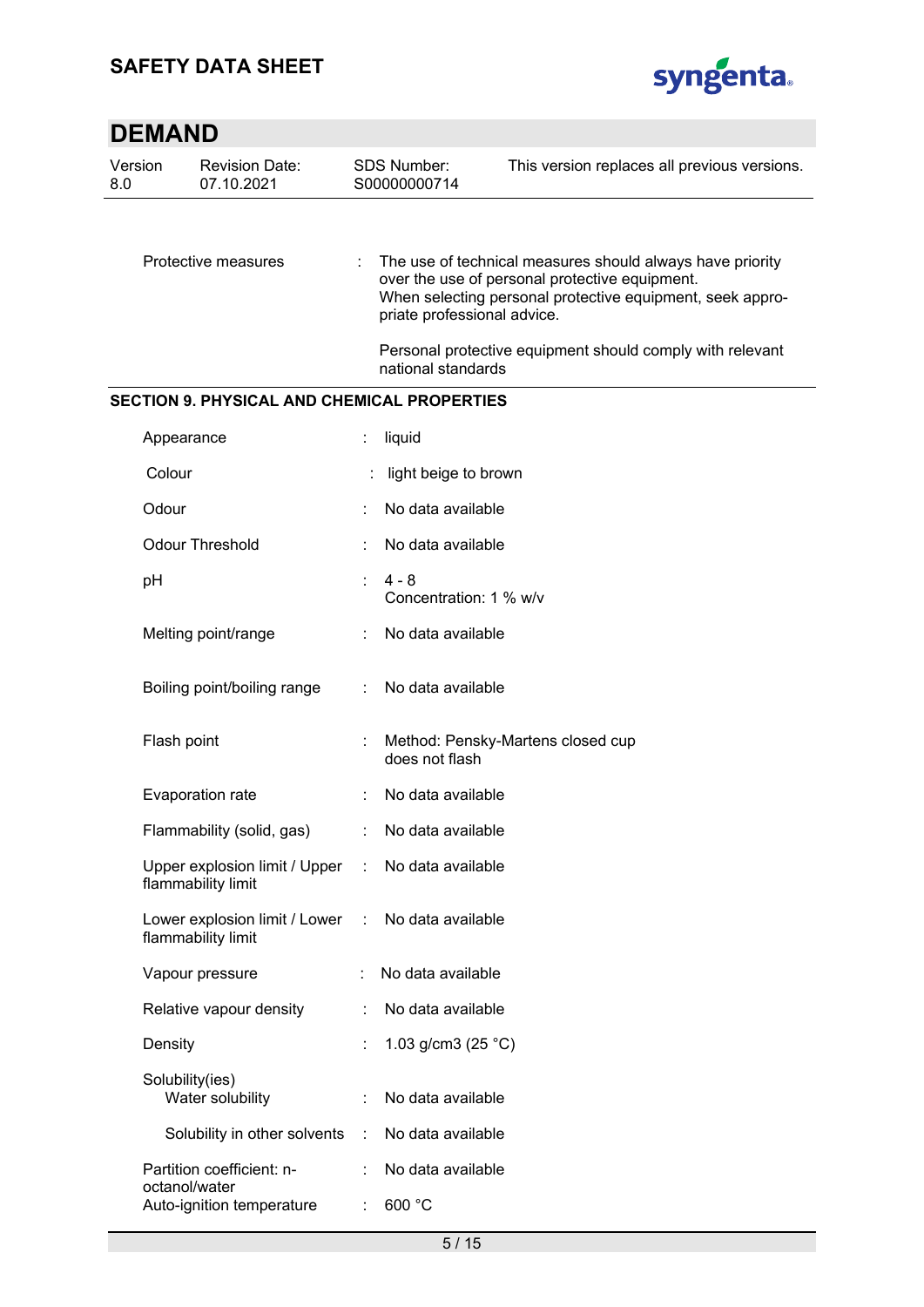

| Version<br>8.0                                     | <b>Revision Date:</b><br>07.10.2021                 |    | <b>SDS Number:</b><br>S00000000714                  | This version replaces all previous versions.                                                                                                                             |  |  |  |  |  |
|----------------------------------------------------|-----------------------------------------------------|----|-----------------------------------------------------|--------------------------------------------------------------------------------------------------------------------------------------------------------------------------|--|--|--|--|--|
|                                                    |                                                     |    |                                                     |                                                                                                                                                                          |  |  |  |  |  |
|                                                    | Protective measures                                 | ÷. | priate professional advice.                         | The use of technical measures should always have priority<br>over the use of personal protective equipment.<br>When selecting personal protective equipment, seek appro- |  |  |  |  |  |
|                                                    |                                                     |    | national standards                                  | Personal protective equipment should comply with relevant                                                                                                                |  |  |  |  |  |
| <b>SECTION 9. PHYSICAL AND CHEMICAL PROPERTIES</b> |                                                     |    |                                                     |                                                                                                                                                                          |  |  |  |  |  |
|                                                    | Appearance                                          |    | liquid                                              |                                                                                                                                                                          |  |  |  |  |  |
|                                                    | Colour                                              |    | light beige to brown                                |                                                                                                                                                                          |  |  |  |  |  |
|                                                    | Odour                                               |    | No data available                                   |                                                                                                                                                                          |  |  |  |  |  |
|                                                    | <b>Odour Threshold</b>                              |    | No data available                                   |                                                                                                                                                                          |  |  |  |  |  |
|                                                    | рH                                                  | ۰  | $4 - 8$<br>Concentration: 1 % w/v                   |                                                                                                                                                                          |  |  |  |  |  |
|                                                    | Melting point/range                                 |    | No data available                                   |                                                                                                                                                                          |  |  |  |  |  |
|                                                    | Boiling point/boiling range                         | ÷  | No data available                                   |                                                                                                                                                                          |  |  |  |  |  |
|                                                    | Flash point                                         |    | Method: Pensky-Martens closed cup<br>does not flash |                                                                                                                                                                          |  |  |  |  |  |
|                                                    | Evaporation rate                                    |    | No data available                                   |                                                                                                                                                                          |  |  |  |  |  |
|                                                    | Flammability (solid, gas)                           |    | No data available                                   |                                                                                                                                                                          |  |  |  |  |  |
|                                                    | Upper explosion limit / Upper<br>flammability limit |    | No data available                                   |                                                                                                                                                                          |  |  |  |  |  |
|                                                    | Lower explosion limit / Lower<br>flammability limit | ÷  | No data available                                   |                                                                                                                                                                          |  |  |  |  |  |
|                                                    | Vapour pressure                                     |    | No data available                                   |                                                                                                                                                                          |  |  |  |  |  |
|                                                    | Relative vapour density                             |    | No data available                                   |                                                                                                                                                                          |  |  |  |  |  |
|                                                    | Density                                             |    | 1.03 g/cm3 (25 $^{\circ}$ C)                        |                                                                                                                                                                          |  |  |  |  |  |
|                                                    | Solubility(ies)<br>Water solubility                 |    | No data available                                   |                                                                                                                                                                          |  |  |  |  |  |
|                                                    | Solubility in other solvents                        | ÷  | No data available                                   |                                                                                                                                                                          |  |  |  |  |  |
|                                                    | Partition coefficient: n-                           |    | No data available                                   |                                                                                                                                                                          |  |  |  |  |  |
|                                                    | octanol/water<br>Auto-ignition temperature          |    | 600 °C                                              |                                                                                                                                                                          |  |  |  |  |  |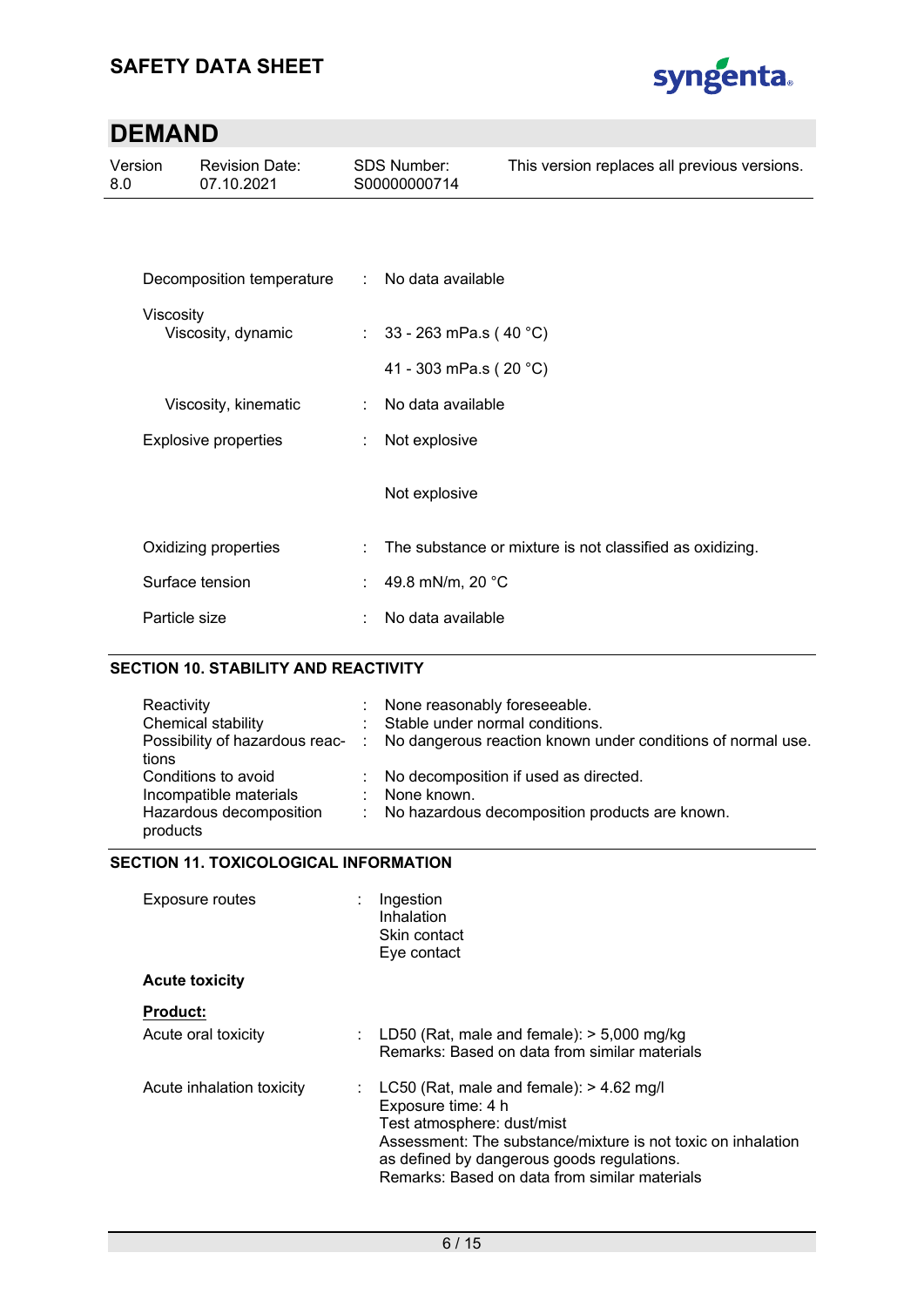

| Version<br>8.0                  | <b>Revision Date:</b><br>07.10.2021 |    | <b>SDS Number:</b><br>S00000000714 | This version replaces all previous versions.             |
|---------------------------------|-------------------------------------|----|------------------------------------|----------------------------------------------------------|
|                                 |                                     |    |                                    |                                                          |
|                                 | Decomposition temperature           |    | : No data available                |                                                          |
| Viscosity<br>Viscosity, dynamic |                                     |    | : $33 - 263$ mPa.s (40 °C)         |                                                          |
|                                 |                                     |    | 41 - 303 mPa.s (20 °C)             |                                                          |
|                                 | Viscosity, kinematic                | ÷  | No data available                  |                                                          |
| <b>Explosive properties</b>     |                                     | ÷  | Not explosive                      |                                                          |
|                                 |                                     |    | Not explosive                      |                                                          |
|                                 | Oxidizing properties                | ÷  |                                    | The substance or mixture is not classified as oxidizing. |
|                                 | Surface tension                     | ÷. | 49.8 mN/m, 20 °C                   |                                                          |
|                                 | Particle size                       | t. | No data available                  |                                                          |

### **SECTION 10. STABILITY AND REACTIVITY**

| Reactivity<br>Chemical stability    | : None reasonably foreseeable.<br>: Stable under normal conditions.<br>Possibility of hazardous reac- : No dangerous reaction known under conditions of normal use. |
|-------------------------------------|---------------------------------------------------------------------------------------------------------------------------------------------------------------------|
| tions                               |                                                                                                                                                                     |
| Conditions to avoid                 | : No decomposition if used as directed.                                                                                                                             |
| Incompatible materials              | $\therefore$ None known.                                                                                                                                            |
| Hazardous decomposition<br>products | : No hazardous decomposition products are known.                                                                                                                    |

### **SECTION 11. TOXICOLOGICAL INFORMATION**

| <b>Exposure routes</b>    | Ingestion<br>Inhalation<br>Skin contact<br>Eye contact                                                                                                                                                                                                          |
|---------------------------|-----------------------------------------------------------------------------------------------------------------------------------------------------------------------------------------------------------------------------------------------------------------|
| <b>Acute toxicity</b>     |                                                                                                                                                                                                                                                                 |
| <b>Product:</b>           |                                                                                                                                                                                                                                                                 |
| Acute oral toxicity       | : LD50 (Rat, male and female): $>$ 5,000 mg/kg<br>Remarks: Based on data from similar materials                                                                                                                                                                 |
| Acute inhalation toxicity | : LC50 (Rat, male and female): $> 4.62$ mg/l<br>Exposure time: 4 h<br>Test atmosphere: dust/mist<br>Assessment: The substance/mixture is not toxic on inhalation<br>as defined by dangerous goods regulations.<br>Remarks: Based on data from similar materials |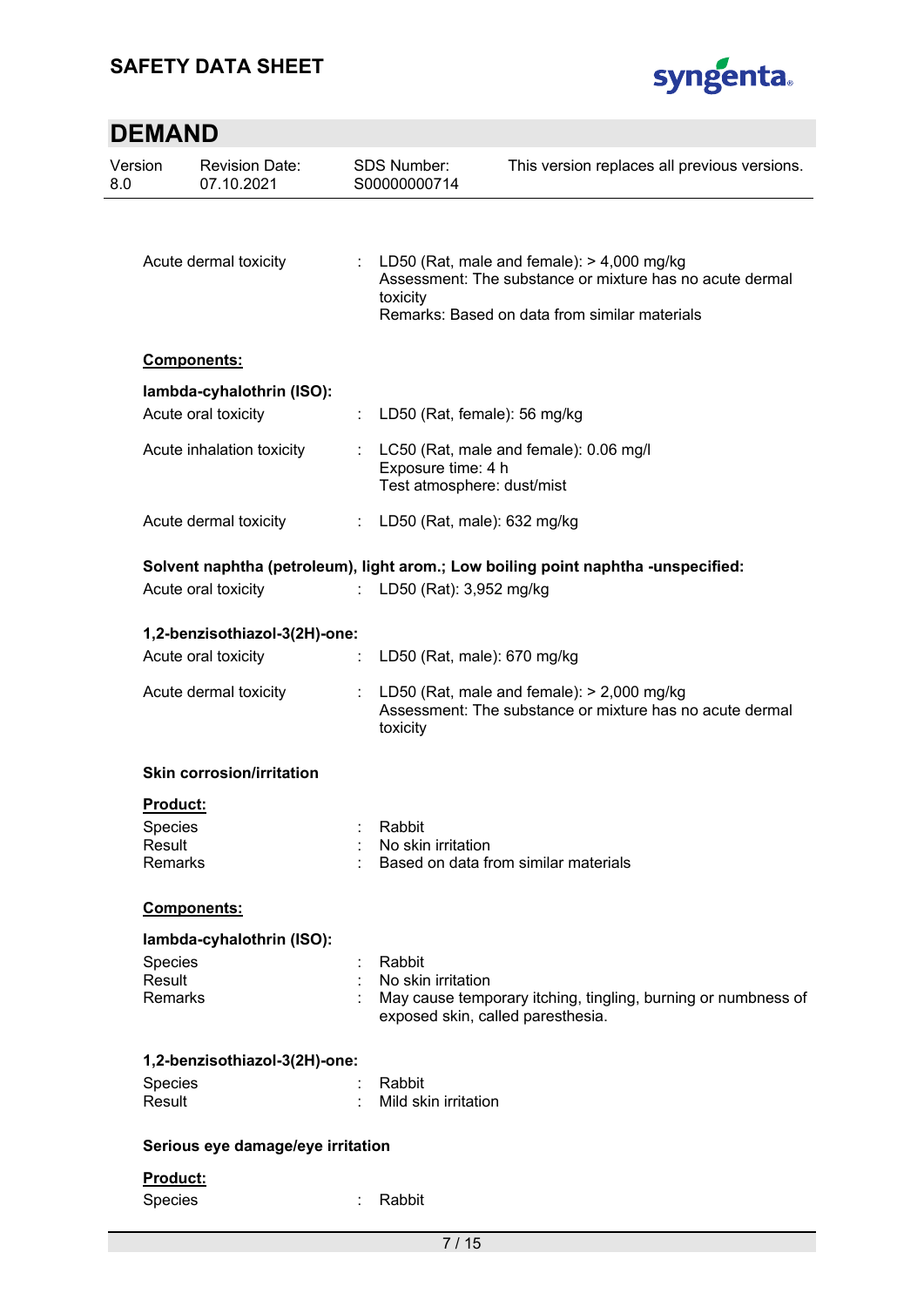## **SAFETY DATA SHEET**



| Version<br>8.0    | <b>Revision Date:</b><br>07.10.2021              |    | <b>SDS Number:</b><br>S00000000714               | This version replaces all previous versions.                                                                                                                |
|-------------------|--------------------------------------------------|----|--------------------------------------------------|-------------------------------------------------------------------------------------------------------------------------------------------------------------|
|                   | Acute dermal toxicity                            |    | toxicity                                         | : LD50 (Rat, male and female): $>$ 4,000 mg/kg<br>Assessment: The substance or mixture has no acute dermal<br>Remarks: Based on data from similar materials |
|                   | Components:                                      |    |                                                  |                                                                                                                                                             |
|                   | lambda-cyhalothrin (ISO):<br>Acute oral toxicity |    | LD50 (Rat, female): 56 mg/kg                     |                                                                                                                                                             |
|                   | Acute inhalation toxicity                        |    | Exposure time: 4 h<br>Test atmosphere: dust/mist | LC50 (Rat, male and female): 0.06 mg/l                                                                                                                      |
|                   | Acute dermal toxicity                            | t. | LD50 (Rat, male): 632 mg/kg                      |                                                                                                                                                             |
|                   | Acute oral toxicity                              |    | LD50 (Rat): 3,952 mg/kg                          | Solvent naphtha (petroleum), light arom.; Low boiling point naphtha -unspecified:                                                                           |
|                   | 1,2-benzisothiazol-3(2H)-one:                    |    |                                                  |                                                                                                                                                             |
|                   | Acute oral toxicity                              |    | LD50 (Rat, male): 670 mg/kg                      |                                                                                                                                                             |
|                   | Acute dermal toxicity                            |    | toxicity                                         | LD50 (Rat, male and female): $>$ 2,000 mg/kg<br>Assessment: The substance or mixture has no acute dermal                                                    |
|                   | <b>Skin corrosion/irritation</b>                 |    |                                                  |                                                                                                                                                             |
|                   | <b>Product:</b>                                  |    |                                                  |                                                                                                                                                             |
| Species           |                                                  |    | Rabbit                                           |                                                                                                                                                             |
| Result            | Remarks                                          |    | No skin irritation                               | Based on data from similar materials                                                                                                                        |
|                   | Components:                                      |    |                                                  |                                                                                                                                                             |
|                   | lambda-cyhalothrin (ISO):                        |    |                                                  |                                                                                                                                                             |
| Species           |                                                  |    | Rabbit                                           |                                                                                                                                                             |
| Result            | Remarks                                          |    | No skin irritation                               | May cause temporary itching, tingling, burning or numbness of<br>exposed skin, called paresthesia.                                                          |
|                   | 1,2-benzisothiazol-3(2H)-one:                    |    |                                                  |                                                                                                                                                             |
| Species<br>Result |                                                  |    | Rabbit<br>Mild skin irritation                   |                                                                                                                                                             |
|                   | Serious eye damage/eye irritation                |    |                                                  |                                                                                                                                                             |
|                   | Product:                                         |    |                                                  |                                                                                                                                                             |
| Species           |                                                  |    | Rabbit                                           |                                                                                                                                                             |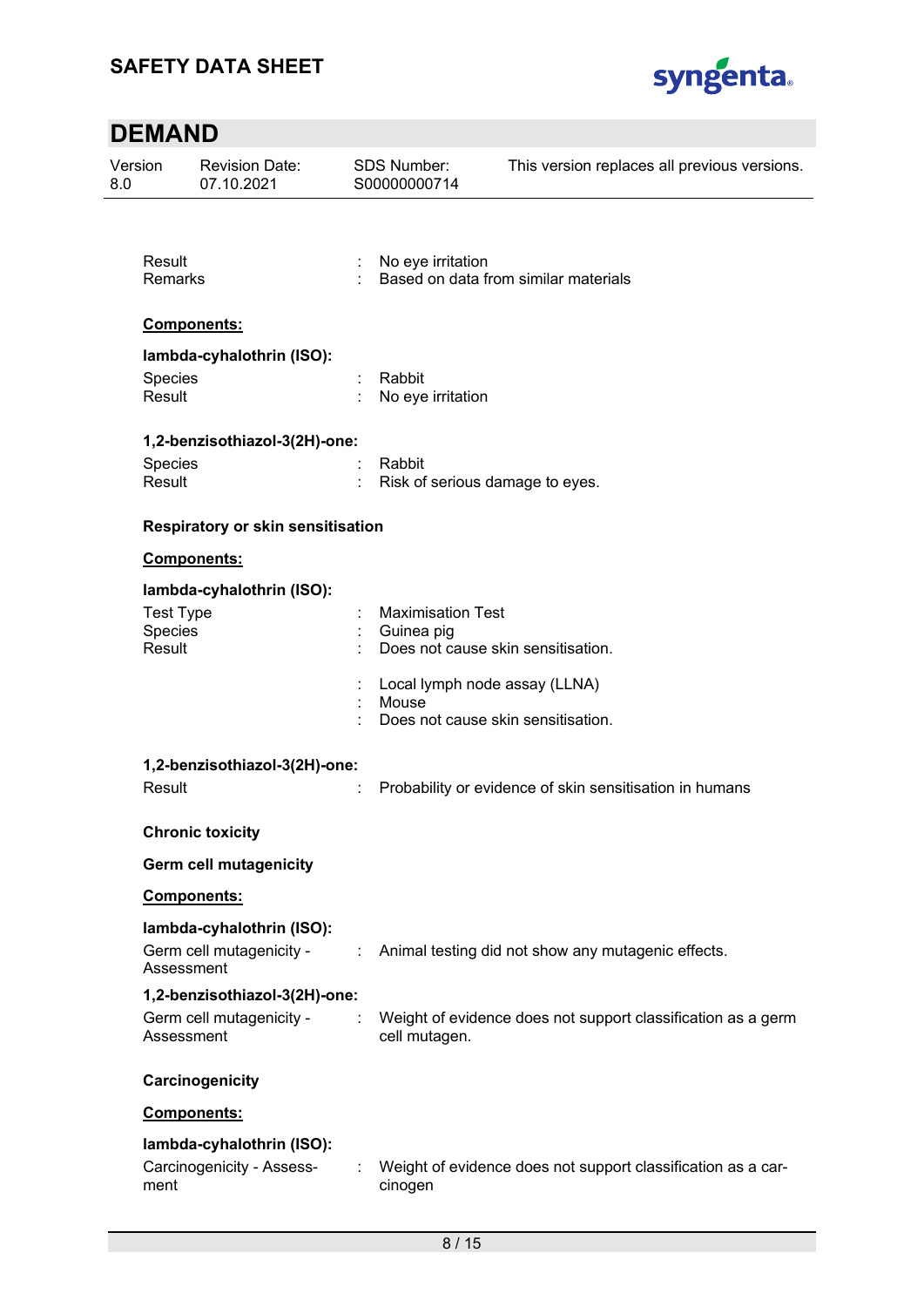

| 0.8 | Version<br><b>Revision Date:</b><br>07.10.2021 |                                   |    | <b>SDS Number:</b><br>S00000000714          | This version replaces all previous versions.                 |  |
|-----|------------------------------------------------|-----------------------------------|----|---------------------------------------------|--------------------------------------------------------------|--|
|     |                                                |                                   |    |                                             |                                                              |  |
|     | Result<br>Remarks                              |                                   |    | No eye irritation                           | Based on data from similar materials                         |  |
|     |                                                | <b>Components:</b>                |    |                                             |                                                              |  |
|     |                                                | lambda-cyhalothrin (ISO):         |    |                                             |                                                              |  |
|     | Species<br>Result                              |                                   |    | Rabbit<br>No eye irritation                 |                                                              |  |
|     |                                                | 1,2-benzisothiazol-3(2H)-one:     |    |                                             |                                                              |  |
|     | Species<br>Result                              |                                   |    | Rabbit<br>Risk of serious damage to eyes.   |                                                              |  |
|     |                                                | Respiratory or skin sensitisation |    |                                             |                                                              |  |
|     |                                                | Components:                       |    |                                             |                                                              |  |
|     |                                                | lambda-cyhalothrin (ISO):         |    |                                             |                                                              |  |
|     | <b>Test Type</b><br>Species                    |                                   |    | <b>Maximisation Test</b><br>Guinea pig      |                                                              |  |
|     | Result                                         |                                   |    | Does not cause skin sensitisation.          |                                                              |  |
|     |                                                |                                   |    | Local lymph node assay (LLNA)               |                                                              |  |
|     |                                                |                                   |    | Mouse<br>Does not cause skin sensitisation. |                                                              |  |
|     | 1,2-benzisothiazol-3(2H)-one:                  |                                   |    |                                             |                                                              |  |
|     | Result                                         |                                   |    |                                             | Probability or evidence of skin sensitisation in humans      |  |
|     |                                                | <b>Chronic toxicity</b>           |    |                                             |                                                              |  |
|     |                                                | <b>Germ cell mutagenicity</b>     |    |                                             |                                                              |  |
|     |                                                | <b>Components:</b>                |    |                                             |                                                              |  |
|     |                                                | lambda-cyhalothrin (ISO):         |    |                                             |                                                              |  |
|     | Assessment                                     | Germ cell mutagenicity -          | ÷. |                                             | Animal testing did not show any mutagenic effects.           |  |
|     |                                                | 1,2-benzisothiazol-3(2H)-one:     |    |                                             |                                                              |  |
|     | Assessment                                     | Germ cell mutagenicity -          |    | cell mutagen.                               | Weight of evidence does not support classification as a germ |  |
|     |                                                | Carcinogenicity                   |    |                                             |                                                              |  |
|     |                                                | <b>Components:</b>                |    |                                             |                                                              |  |
|     |                                                | lambda-cyhalothrin (ISO):         |    |                                             |                                                              |  |
|     | ment                                           | Carcinogenicity - Assess-         |    | cinogen                                     | Weight of evidence does not support classification as a car- |  |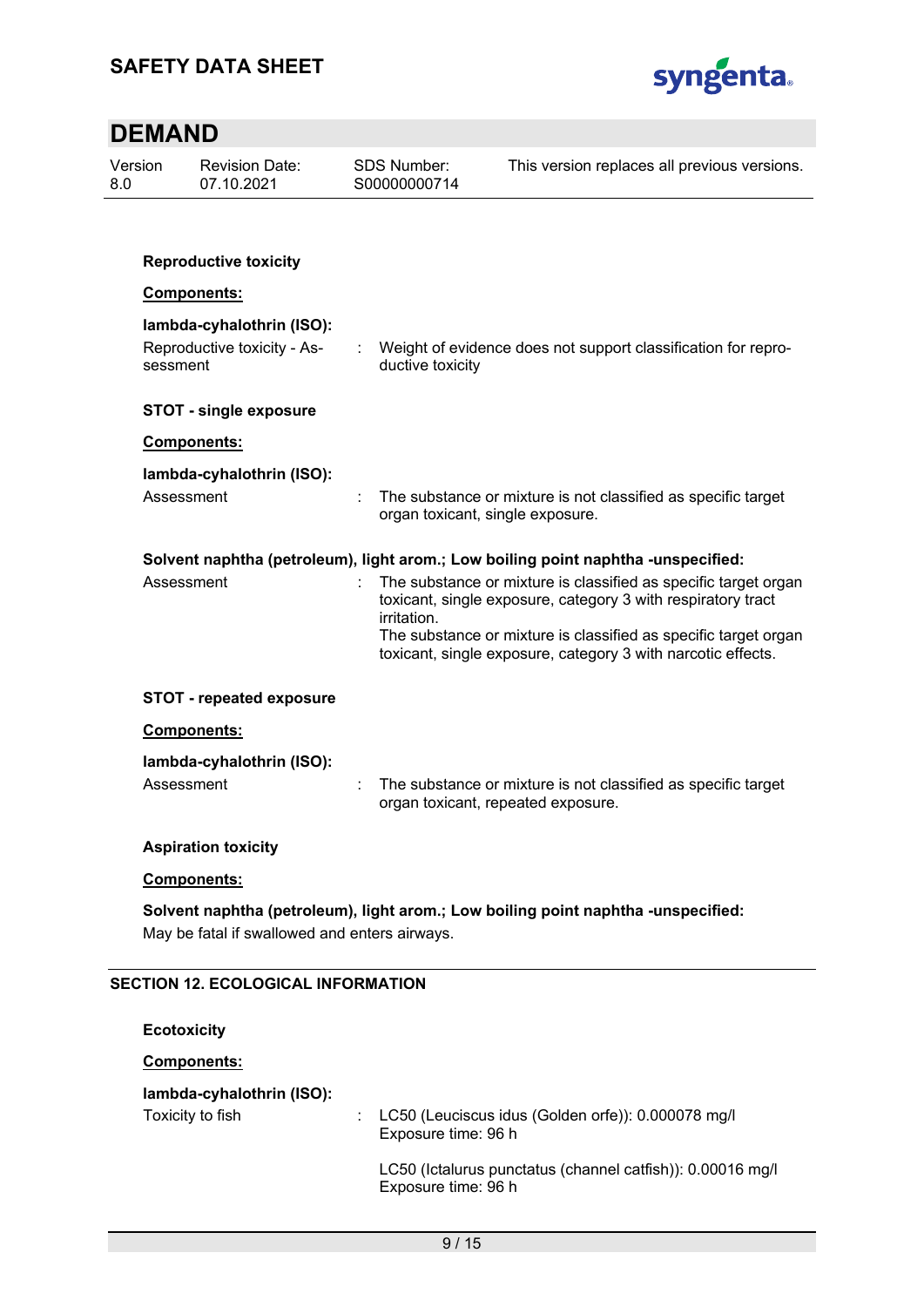

| 8.0 | Version            | <b>Revision Date:</b><br>07.10.2021           | <b>SDS Number:</b><br>S00000000714 | This version replaces all previous versions.                                                                                    |
|-----|--------------------|-----------------------------------------------|------------------------------------|---------------------------------------------------------------------------------------------------------------------------------|
|     |                    |                                               |                                    |                                                                                                                                 |
|     |                    | <b>Reproductive toxicity</b>                  |                                    |                                                                                                                                 |
|     |                    | Components:                                   |                                    |                                                                                                                                 |
|     |                    | lambda-cyhalothrin (ISO):                     |                                    |                                                                                                                                 |
|     | sessment           | Reproductive toxicity - As-                   | ductive toxicity                   | Weight of evidence does not support classification for repro-                                                                   |
|     |                    | <b>STOT - single exposure</b>                 |                                    |                                                                                                                                 |
|     |                    | Components:                                   |                                    |                                                                                                                                 |
|     |                    | lambda-cyhalothrin (ISO):                     |                                    |                                                                                                                                 |
|     | Assessment         |                                               | organ toxicant, single exposure.   | The substance or mixture is not classified as specific target                                                                   |
|     |                    |                                               |                                    | Solvent naphtha (petroleum), light arom.; Low boiling point naphtha -unspecified:                                               |
|     | Assessment         |                                               | irritation.                        | The substance or mixture is classified as specific target organ<br>toxicant, single exposure, category 3 with respiratory tract |
|     |                    |                                               |                                    | The substance or mixture is classified as specific target organ<br>toxicant, single exposure, category 3 with narcotic effects. |
|     |                    | <b>STOT - repeated exposure</b>               |                                    |                                                                                                                                 |
|     |                    | Components:                                   |                                    |                                                                                                                                 |
|     |                    | lambda-cyhalothrin (ISO):                     |                                    |                                                                                                                                 |
|     | Assessment         |                                               |                                    | The substance or mixture is not classified as specific target<br>organ toxicant, repeated exposure.                             |
|     |                    | <b>Aspiration toxicity</b>                    |                                    |                                                                                                                                 |
|     |                    | Components:                                   |                                    |                                                                                                                                 |
|     |                    | May be fatal if swallowed and enters airways. |                                    | Solvent naphtha (petroleum), light arom.; Low boiling point naphtha -unspecified:                                               |
|     |                    | <b>SECTION 12. ECOLOGICAL INFORMATION</b>     |                                    |                                                                                                                                 |
|     | <b>Ecotoxicity</b> |                                               |                                    |                                                                                                                                 |
|     |                    | <b>Components:</b>                            |                                    |                                                                                                                                 |
|     |                    | lambda-cyhalothrin (ISO):                     |                                    |                                                                                                                                 |
|     |                    | Toxicity to fish                              | Exposure time: 96 h                | LC50 (Leuciscus idus (Golden orfe)): 0.000078 mg/l                                                                              |
|     |                    |                                               | Exposure time: 96 h                | LC50 (Ictalurus punctatus (channel catfish)): 0.00016 mg/l                                                                      |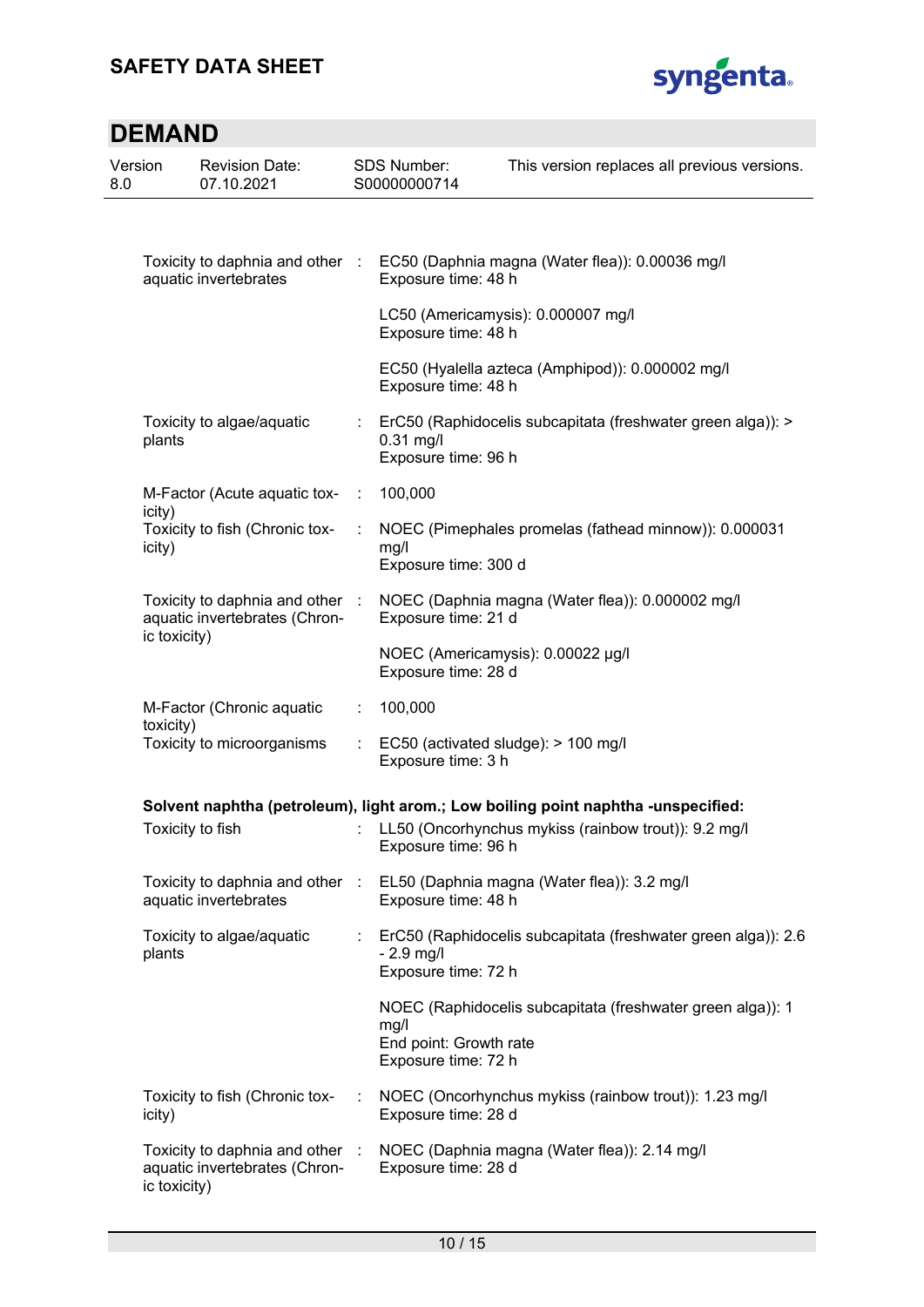## **SAFETY DATA SHEET**



| Version<br>8.0 |              | <b>Revision Date:</b><br>07.10.2021                              |      | SDS Number:<br>S00000000714                           | This version replaces all previous versions.                                      |
|----------------|--------------|------------------------------------------------------------------|------|-------------------------------------------------------|-----------------------------------------------------------------------------------|
|                |              |                                                                  |      |                                                       |                                                                                   |
|                |              | aquatic invertebrates                                            |      | Exposure time: 48 h                                   | Toxicity to daphnia and other : EC50 (Daphnia magna (Water flea)): 0.00036 mg/l   |
|                |              |                                                                  |      | Exposure time: 48 h                                   | LC50 (Americamysis): 0.000007 mg/l                                                |
|                |              |                                                                  |      | Exposure time: 48 h                                   | EC50 (Hyalella azteca (Amphipod)): 0.000002 mg/l                                  |
|                | plants       | Toxicity to algae/aquatic                                        |      | $0.31$ mg/l<br>Exposure time: 96 h                    | ErC50 (Raphidocelis subcapitata (freshwater green alga)): >                       |
|                | icity)       | M-Factor (Acute aquatic tox-                                     | - 11 | 100,000                                               |                                                                                   |
|                | icity)       | Toxicity to fish (Chronic tox-                                   |      | mg/l<br>Exposure time: 300 d                          | NOEC (Pimephales promelas (fathead minnow)): 0.000031                             |
|                | ic toxicity) | Toxicity to daphnia and other :<br>aquatic invertebrates (Chron- |      | Exposure time: 21 d                                   | NOEC (Daphnia magna (Water flea)): 0.000002 mg/l                                  |
|                |              |                                                                  |      | Exposure time: 28 d                                   | NOEC (Americamysis): 0.00022 µg/l                                                 |
|                |              | M-Factor (Chronic aquatic                                        | ÷    | 100,000                                               |                                                                                   |
|                | toxicity)    | Toxicity to microorganisms                                       |      | Exposure time: 3 h                                    | EC50 (activated sludge): > 100 mg/l                                               |
|                |              |                                                                  |      |                                                       | Solvent naphtha (petroleum), light arom.; Low boiling point naphtha -unspecified: |
|                |              | Toxicity to fish                                                 |      | Exposure time: 96 h                                   | LL50 (Oncorhynchus mykiss (rainbow trout)): 9.2 mg/l                              |
|                |              | Toxicity to daphnia and other :<br>aquatic invertebrates         |      | Exposure time: 48 h                                   | EL50 (Daphnia magna (Water flea)): 3.2 mg/l                                       |
|                | plants       | Toxicity to algae/aquatic                                        |      | $-2.9$ mg/l<br>Exposure time: 72 h                    | ErC50 (Raphidocelis subcapitata (freshwater green alga)): 2.6                     |
|                |              |                                                                  |      | mg/l<br>End point: Growth rate<br>Exposure time: 72 h | NOEC (Raphidocelis subcapitata (freshwater green alga)): 1                        |
|                | icity)       | Toxicity to fish (Chronic tox-                                   |      | Exposure time: 28 d                                   | NOEC (Oncorhynchus mykiss (rainbow trout)): 1.23 mg/l                             |
|                | ic toxicity) | Toxicity to daphnia and other :<br>aquatic invertebrates (Chron- |      | Exposure time: 28 d                                   | NOEC (Daphnia magna (Water flea)): 2.14 mg/l                                      |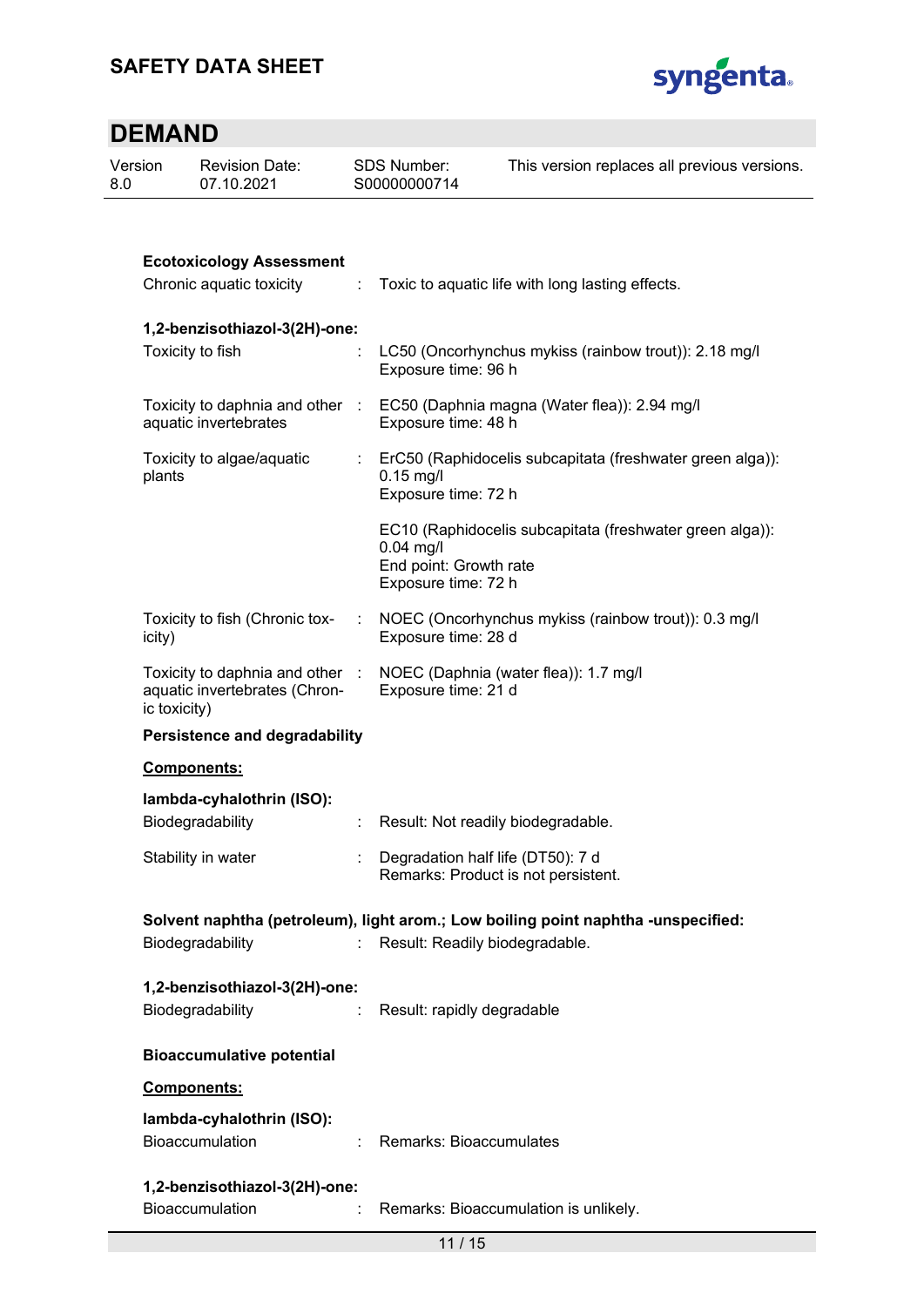

| Version<br>8.0 | <b>Revision Date:</b><br>07.10.2021                                            |    | <b>SDS Number:</b><br>S00000000714                           | This version replaces all previous versions.                                      |
|----------------|--------------------------------------------------------------------------------|----|--------------------------------------------------------------|-----------------------------------------------------------------------------------|
|                |                                                                                |    |                                                              |                                                                                   |
|                | <b>Ecotoxicology Assessment</b><br>Chronic aquatic toxicity                    | ÷  |                                                              | Toxic to aquatic life with long lasting effects.                                  |
|                | 1,2-benzisothiazol-3(2H)-one:<br>Toxicity to fish                              |    | Exposure time: 96 h                                          | LC50 (Oncorhynchus mykiss (rainbow trout)): 2.18 mg/l                             |
|                | Toxicity to daphnia and other :<br>aquatic invertebrates                       |    | Exposure time: 48 h                                          | EC50 (Daphnia magna (Water flea)): 2.94 mg/l                                      |
|                | Toxicity to algae/aquatic<br>plants                                            |    | $0.15$ mg/l<br>Exposure time: 72 h                           | ErC50 (Raphidocelis subcapitata (freshwater green alga)):                         |
|                |                                                                                |    | $0.04$ mg/l<br>End point: Growth rate<br>Exposure time: 72 h | EC10 (Raphidocelis subcapitata (freshwater green alga)):                          |
|                | Toxicity to fish (Chronic tox-<br>icity)                                       |    | Exposure time: 28 d                                          | NOEC (Oncorhynchus mykiss (rainbow trout)): 0.3 mg/l                              |
|                | Toxicity to daphnia and other<br>aquatic invertebrates (Chron-<br>ic toxicity) |    | NOEC (Daphnia (water flea)): 1.7 mg/l<br>Exposure time: 21 d |                                                                                   |
|                | <b>Persistence and degradability</b>                                           |    |                                                              |                                                                                   |
|                | Components:                                                                    |    |                                                              |                                                                                   |
|                | lambda-cyhalothrin (ISO):<br>Biodegradability                                  |    | Result: Not readily biodegradable.                           |                                                                                   |
|                | Stability in water                                                             |    | Degradation half life (DT50): 7 d                            | Remarks: Product is not persistent.                                               |
|                |                                                                                |    |                                                              | Solvent naphtha (petroleum), light arom.; Low boiling point naphtha -unspecified: |
|                | Biodegradability                                                               | t. | Result: Readily biodegradable.                               |                                                                                   |
|                | 1,2-benzisothiazol-3(2H)-one:<br>Biodegradability                              |    | Result: rapidly degradable                                   |                                                                                   |
|                | <b>Bioaccumulative potential</b>                                               |    |                                                              |                                                                                   |
|                | Components:                                                                    |    |                                                              |                                                                                   |
|                | lambda-cyhalothrin (ISO):<br>Bioaccumulation                                   |    | Remarks: Bioaccumulates                                      |                                                                                   |
|                | 1,2-benzisothiazol-3(2H)-one:<br>Bioaccumulation                               |    |                                                              | Remarks: Bioaccumulation is unlikely.                                             |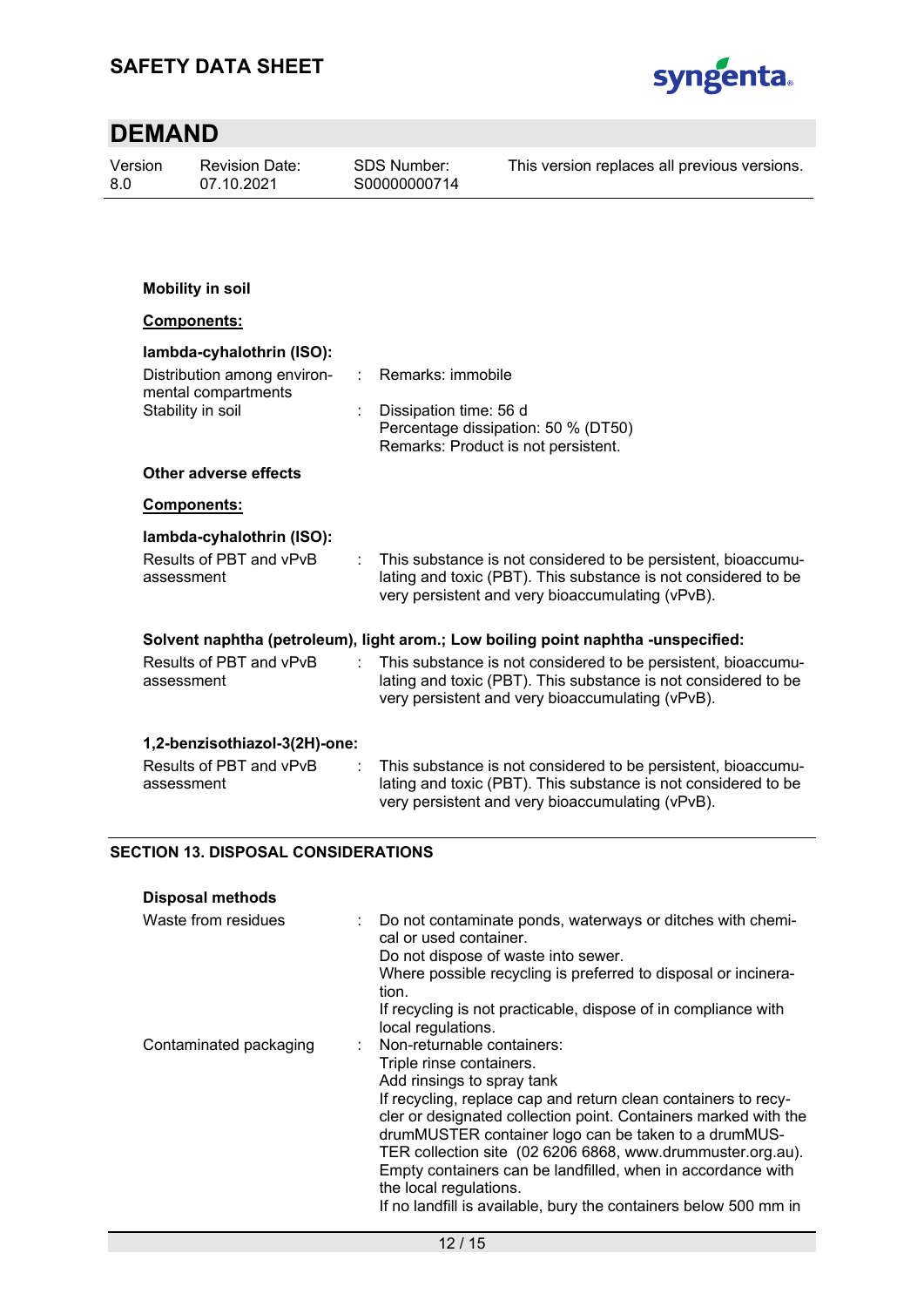

| Version<br>8.0 |                                                                                   | <b>Revision Date:</b><br>07.10.2021                                     |  | <b>SDS Number:</b><br>S00000000714 | This version replaces all previous versions.                                                                                                                                        |  |  |  |
|----------------|-----------------------------------------------------------------------------------|-------------------------------------------------------------------------|--|------------------------------------|-------------------------------------------------------------------------------------------------------------------------------------------------------------------------------------|--|--|--|
|                |                                                                                   |                                                                         |  |                                    |                                                                                                                                                                                     |  |  |  |
|                |                                                                                   | <b>Mobility in soil</b>                                                 |  |                                    |                                                                                                                                                                                     |  |  |  |
|                | Components:                                                                       |                                                                         |  |                                    |                                                                                                                                                                                     |  |  |  |
|                | lambda-cyhalothrin (ISO):                                                         |                                                                         |  |                                    |                                                                                                                                                                                     |  |  |  |
|                |                                                                                   | Distribution among environ-<br>mental compartments<br>Stability in soil |  | Remarks: immobile                  |                                                                                                                                                                                     |  |  |  |
|                |                                                                                   |                                                                         |  | Dissipation time: 56 d             | Percentage dissipation: 50 % (DT50)<br>Remarks: Product is not persistent.                                                                                                          |  |  |  |
|                |                                                                                   | <b>Other adverse effects</b>                                            |  |                                    |                                                                                                                                                                                     |  |  |  |
|                |                                                                                   | Components:                                                             |  |                                    |                                                                                                                                                                                     |  |  |  |
|                | assessment                                                                        | lambda-cyhalothrin (ISO):<br>Results of PBT and vPvB                    |  |                                    | This substance is not considered to be persistent, bioaccumu-<br>lating and toxic (PBT). This substance is not considered to be<br>very persistent and very bioaccumulating (vPvB). |  |  |  |
|                | Solvent naphtha (petroleum), light arom.; Low boiling point naphtha -unspecified: |                                                                         |  |                                    |                                                                                                                                                                                     |  |  |  |
|                | assessment                                                                        | Results of PBT and vPvB                                                 |  |                                    | This substance is not considered to be persistent, bioaccumu-<br>lating and toxic (PBT). This substance is not considered to be<br>very persistent and very bioaccumulating (vPvB). |  |  |  |
|                |                                                                                   | 1,2-benzisothiazol-3(2H)-one:                                           |  |                                    |                                                                                                                                                                                     |  |  |  |
|                | assessment                                                                        | Results of PBT and vPvB                                                 |  |                                    | This substance is not considered to be persistent, bioaccumu-<br>lating and toxic (PBT). This substance is not considered to be<br>very persistent and very bioaccumulating (vPvB). |  |  |  |
|                | <b>SECTION 13. DISPOSAL CONSIDERATIONS</b>                                        |                                                                         |  |                                    |                                                                                                                                                                                     |  |  |  |

| <b>Disposal methods</b> |                                                                                                                                                                                                                                                                                                                                                                                                                                                                                                                |  |
|-------------------------|----------------------------------------------------------------------------------------------------------------------------------------------------------------------------------------------------------------------------------------------------------------------------------------------------------------------------------------------------------------------------------------------------------------------------------------------------------------------------------------------------------------|--|
| Waste from residues     | Do not contaminate ponds, waterways or ditches with chemi-<br>cal or used container.<br>Do not dispose of waste into sewer.<br>Where possible recycling is preferred to disposal or incinera-<br>tion.<br>If recycling is not practicable, dispose of in compliance with                                                                                                                                                                                                                                       |  |
|                         | local regulations.                                                                                                                                                                                                                                                                                                                                                                                                                                                                                             |  |
| Contaminated packaging  | : Non-returnable containers:<br>Triple rinse containers.<br>Add rinsings to spray tank<br>If recycling, replace cap and return clean containers to recy-<br>cler or designated collection point. Containers marked with the<br>drumMUSTER container logo can be taken to a drumMUS-<br>TER collection site (02 6206 6868, www.drummuster.org.au).<br>Empty containers can be landfilled, when in accordance with<br>the local regulations.<br>If no landfill is available, bury the containers below 500 mm in |  |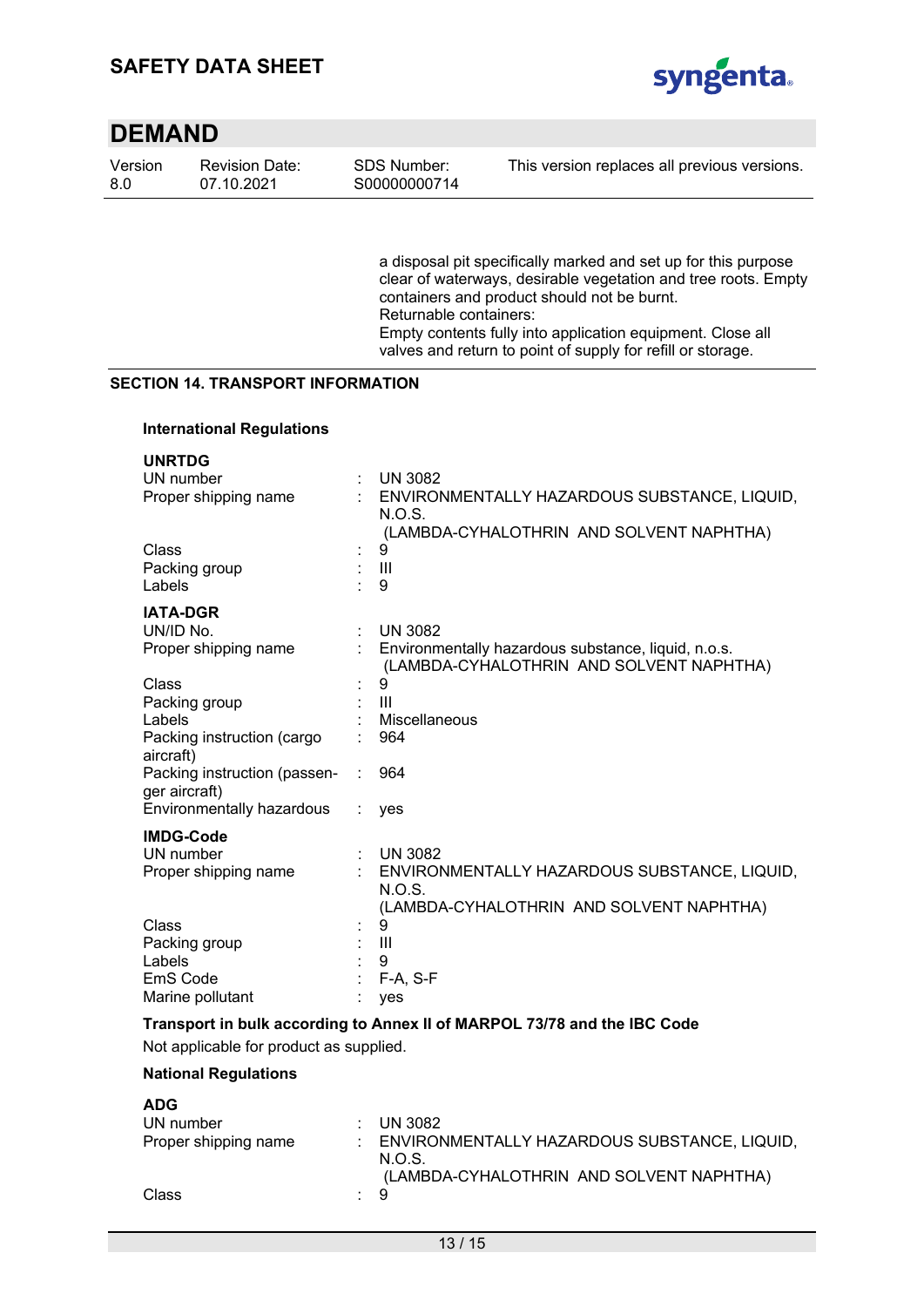

| Version | Revisi |
|---------|--------|
| 8.0     | 07.10  |

ion Date: 07.10.2021

a disposal pit specifically marked and set up for this purpose clear of waterways, desirable vegetation and tree roots. Empty containers and product should not be burnt. Returnable containers: Empty contents fully into application equipment. Close all valves and return to point of supply for refill or storage.

### **SECTION 14. TRANSPORT INFORMATION**

#### **International Regulations**

| <b>UNRTDG</b><br>UN number<br>Proper shipping name                          |   | <b>UN 3082</b><br>: ENVIRONMENTALLY HAZARDOUS SUBSTANCE, LIQUID,<br>N.O.S.                                           |
|-----------------------------------------------------------------------------|---|----------------------------------------------------------------------------------------------------------------------|
| Class<br>Packing group<br>Labels                                            |   | (LAMBDA-CYHALOTHRIN AND SOLVENT NAPHTHA)<br>9<br>$\mathbf{III}$<br>9                                                 |
| <b>IATA-DGR</b><br>UN/ID No.<br>Proper shipping name                        | ÷ | <b>UN 3082</b><br>Environmentally hazardous substance, liquid, n.o.s.<br>(LAMBDA-CYHALOTHRIN AND SOLVENT NAPHTHA)    |
| Class<br>Packing group<br>Labels<br>Packing instruction (cargo<br>aircraft) |   | 9<br>$\mathbf{III}$<br>Miscellaneous<br>964                                                                          |
| Packing instruction (passen-<br>ger aircraft)<br>Environmentally hazardous  |   | 964<br>ves                                                                                                           |
| <b>IMDG-Code</b><br>UN number<br>Proper shipping name                       |   | <b>UN 3082</b><br>ENVIRONMENTALLY HAZARDOUS SUBSTANCE, LIQUID,<br>N.O.S.<br>(LAMBDA-CYHALOTHRIN AND SOLVENT NAPHTHA) |
| Class<br>Packing group<br>Labels<br>EmS Code<br>Marine pollutant            |   | 9<br>Ш<br>9<br>$F-A, S-F$<br>yes                                                                                     |

### **Transport in bulk according to Annex II of MARPOL 73/78 and the IBC Code**

Not applicable for product as supplied.

#### **National Regulations**

| <b>ADG</b>           |     |                                                          |
|----------------------|-----|----------------------------------------------------------|
| UN number            |     | UN 3082                                                  |
| Proper shipping name |     | : ENVIRONMENTALLY HAZARDOUS SUBSTANCE, LIQUID,<br>N.O.S. |
|                      |     | (LAMBDA-CYHALOTHRIN AND SOLVENT NAPHTHA)                 |
| Class                | : 9 |                                                          |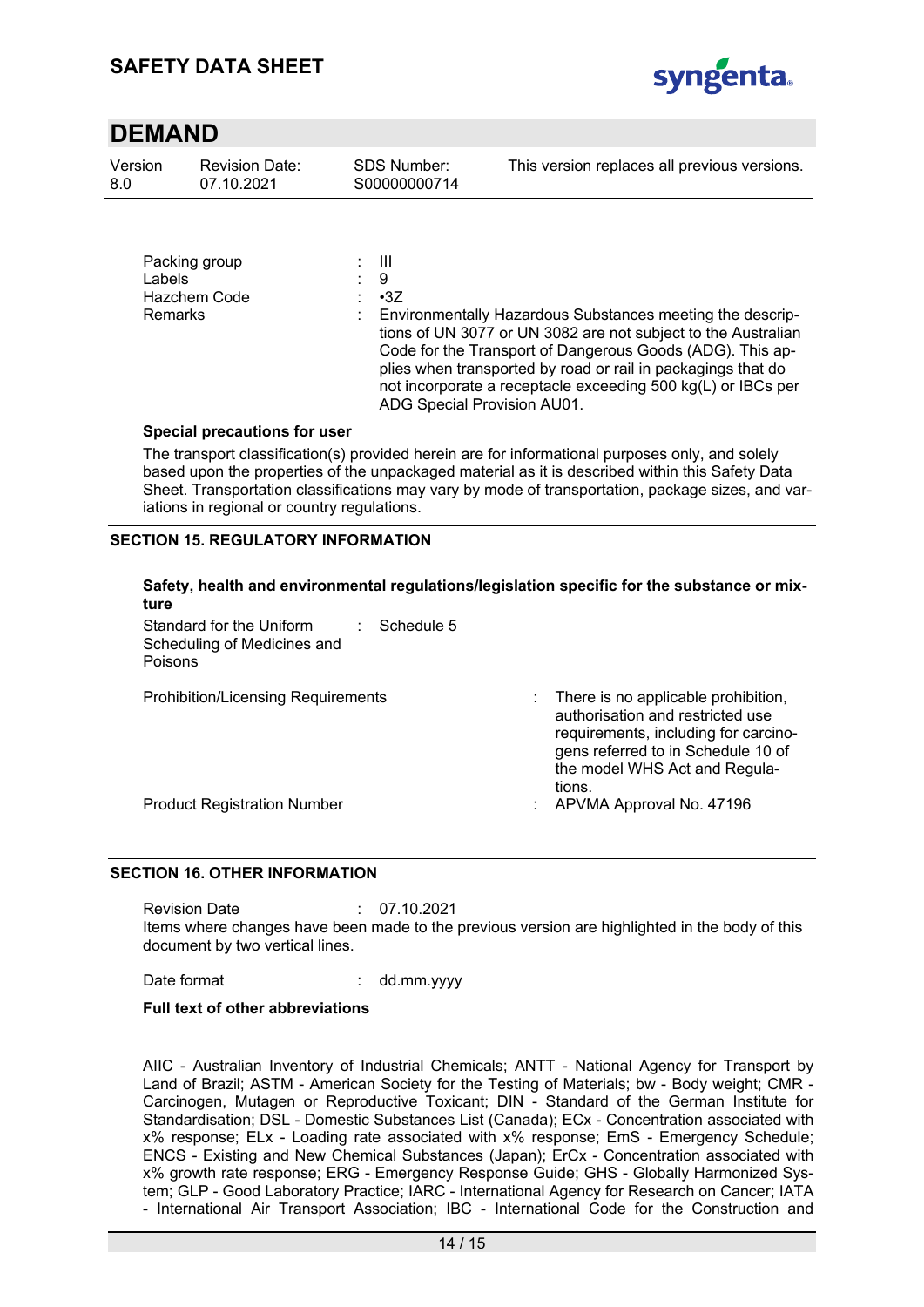

| Version | <b>Revision Date:</b> | SDS Number:  | This version replaces all previous versions. |
|---------|-----------------------|--------------|----------------------------------------------|
| -8.0    | 07.10.2021            | S00000000714 |                                              |
|         |                       |              |                                              |

| Packing group<br>Labels<br>Hazchem Code<br><b>Remarks</b> | : III<br>- 9<br>$\cdot$ 3Z<br>Environmentally Hazardous Substances meeting the descrip-<br>tions of UN 3077 or UN 3082 are not subject to the Australian<br>Code for the Transport of Dangerous Goods (ADG). This ap-<br>plies when transported by road or rail in packagings that do |
|-----------------------------------------------------------|---------------------------------------------------------------------------------------------------------------------------------------------------------------------------------------------------------------------------------------------------------------------------------------|
|                                                           | not incorporate a receptacle exceeding 500 kg(L) or IBCs per<br>ADG Special Provision AU01.                                                                                                                                                                                           |

#### **Special precautions for user**

The transport classification(s) provided herein are for informational purposes only, and solely based upon the properties of the unpackaged material as it is described within this Safety Data Sheet. Transportation classifications may vary by mode of transportation, package sizes, and variations in regional or country regulations.

### **SECTION 15. REGULATORY INFORMATION**

### **Safety, health and environmental regulations/legislation specific for the substance or mixture**

Standard for the Uniform Scheduling of Medicines and Poisons : Schedule 5

Prohibition/Licensing Requirements : There is no applicable prohibition, authorisation and restricted use requirements, including for carcinogens referred to in Schedule 10 of the model WHS Act and Regulations.

Product Registration Number : APVMA Approval No. 47196

### **SECTION 16. OTHER INFORMATION**

Revision Date : 07.10.2021 Items where changes have been made to the previous version are highlighted in the body of this document by two vertical lines.

Date format : dd.mm.yyyy

### **Full text of other abbreviations**

AIIC - Australian Inventory of Industrial Chemicals; ANTT - National Agency for Transport by Land of Brazil; ASTM - American Society for the Testing of Materials; bw - Body weight; CMR - Carcinogen, Mutagen or Reproductive Toxicant; DIN - Standard of the German Institute for Standardisation; DSL - Domestic Substances List (Canada); ECx - Concentration associated with x% response; ELx - Loading rate associated with x% response; EmS - Emergency Schedule; ENCS - Existing and New Chemical Substances (Japan); ErCx - Concentration associated with x% growth rate response; ERG - Emergency Response Guide; GHS - Globally Harmonized System; GLP - Good Laboratory Practice; IARC - International Agency for Research on Cancer; IATA - International Air Transport Association; IBC - International Code for the Construction and